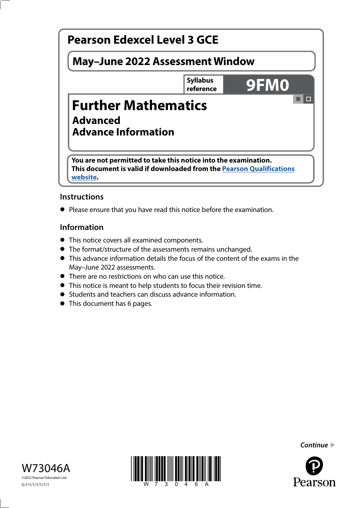

# **Instructions**

**•** Please ensure that you have read this notice before the examination.

# **Information**

- **•** This notice covers all examined components.
- **•** The format/structure of the assessments remains unchanged.
- **•** This advance information details the focus of the content of the exams in the May–June 2022 assessments.
- **•** There are no restrictions on who can use this notice.
- **•** This notice is meant to help students to focus their revision time.
- **•** Students and teachers can discuss advance information.
- **•** This document has 6 pages.







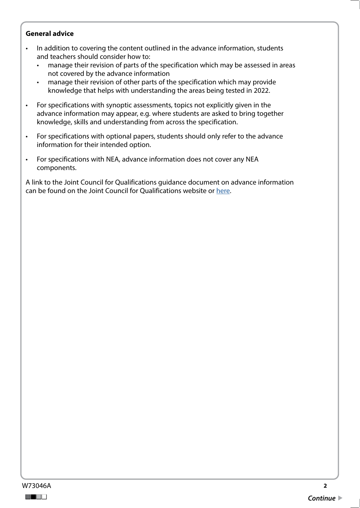## **General advice**

- In addition to covering the content outlined in the advance information, students and teachers should consider how to:
	- manage their revision of parts of the specification which may be assessed in areas not covered by the advance information
	- manage their revision of other parts of the specification which may provide knowledge that helps with understanding the areas being tested in 2022.
- For specifications with synoptic assessments, topics not explicitly given in the advance information may appear, e.g. where students are asked to bring together knowledge, skills and understanding from across the specification.
- For specifications with optional papers, students should only refer to the advance information for their intended option.
- For specifications with NEA, advance information does not cover any NEA components.

A link to the Joint Council for Qualifications guidance document on advance information can be found on the Joint Council for Qualifications website or [here.](https://www.jcq.org.uk/wp-content/uploads/2021/10/Advance-Information-for-General-Qualifications-2021-22.pdf)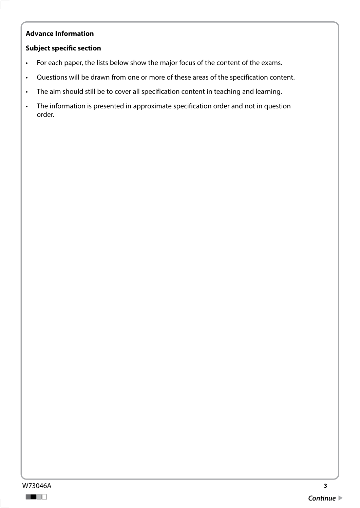## **Advance Information**

## **Subject specific section**

- For each paper, the lists below show the major focus of the content of the exams.
- Questions will be drawn from one or more of these areas of the specification content.
- The aim should still be to cover all specification content in teaching and learning.
- The information is presented in approximate specification order and not in question order.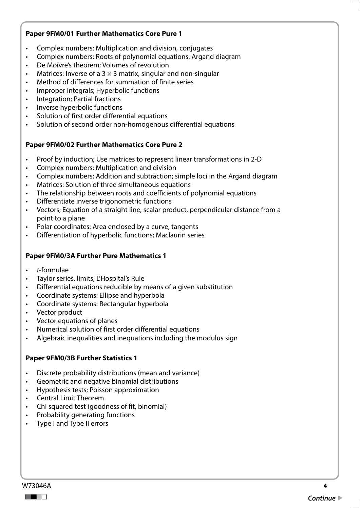## **Paper 9FM0/01 Further Mathematics Core Pure 1**

- Complex numbers: Multiplication and division, conjugates
- Complex numbers: Roots of polynomial equations, Argand diagram
- De Moivre's theorem; Volumes of revolution
- Matrices: Inverse of a  $3 \times 3$  matrix, singular and non-singular
- Method of differences for summation of finite series
- Improper integrals; Hyperbolic functions
- Integration; Partial fractions
- Inverse hyperbolic functions
- Solution of first order differential equations
- Solution of second order non-homogenous differential equations

### **Paper 9FM0/02 Further Mathematics Core Pure 2**

- Proof by induction; Use matrices to represent linear transformations in 2-D
- Complex numbers: Multiplication and division
- Complex numbers; Addition and subtraction; simple loci in the Argand diagram
- Matrices: Solution of three simultaneous equations
- The relationship between roots and coefficients of polynomial equations
- Differentiate inverse trigonometric functions
- Vectors; Equation of a straight line, scalar product, perpendicular distance from a point to a plane
- Polar coordinates: Area enclosed by a curve, tangents
- Differentiation of hyperbolic functions; Maclaurin series

#### **Paper 9FM0/3A Further Pure Mathematics 1**

- *t*-formulae
- Taylor series, limits, L'Hospital's Rule
- Differential equations reducible by means of a given substitution
- Coordinate systems: Ellipse and hyperbola
- Coordinate systems: Rectangular hyperbola
- Vector product
- Vector equations of planes
- Numerical solution of first order differential equations
- Algebraic inequalities and inequations including the modulus sign

#### **Paper 9FM0/3B Further Statistics 1**

- Discrete probability distributions (mean and variance)
- Geometric and negative binomial distributions
- Hypothesis tests; Poisson approximation
- Central Limit Theorem
- Chi squared test (goodness of fit, binomial)
- Probability generating functions
- Type I and Type II errors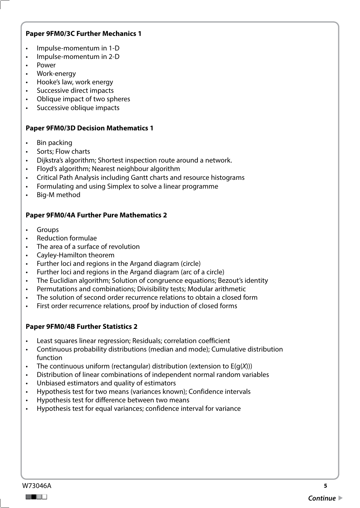## **Paper 9FM0/3C Further Mechanics 1**

- Impulse-momentum in 1-D
- Impulse-momentum in 2-D
- Power
- Work-energy
- Hooke's law, work energy
- Successive direct impacts
- Oblique impact of two spheres
- Successive oblique impacts

### **Paper 9FM0/3D Decision Mathematics 1**

- Bin packing
- Sorts: Flow charts
- Dijkstra's algorithm; Shortest inspection route around a network.
- Floyd's algorithm; Nearest neighbour algorithm
- Critical Path Analysis including Gantt charts and resource histograms
- Formulating and using Simplex to solve a linear programme
- Big-M method

### **Paper 9FM0/4A Further Pure Mathematics 2**

- **Groups**
- Reduction formulae
- The area of a surface of revolution
- Cayley-Hamilton theorem
- Further loci and regions in the Argand diagram (circle)
- Further loci and regions in the Argand diagram (arc of a circle)
- The Euclidian algorithm; Solution of congruence equations; Bezout's identity
- Permutations and combinations; Divisibility tests; Modular arithmetic
- The solution of second order recurrence relations to obtain a closed form
- First order recurrence relations, proof by induction of closed forms

## **Paper 9FM0/4B Further Statistics 2**

- Least squares linear regression; Residuals; correlation coefficient
- Continuous probability distributions (median and mode); Cumulative distribution function
- The continuous uniform (rectangular) distribution (extension to E(g(*X*)))
- Distribution of linear combinations of independent normal random variables
- Unbiased estimators and quality of estimators
- Hypothesis test for two means (variances known); Confidence intervals
- Hypothesis test for difference between two means
- Hypothesis test for equal variances; confidence interval for variance